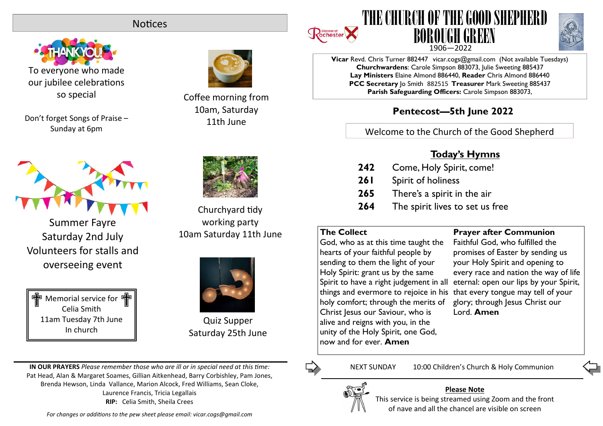# **Notices**



To everyone who made our jubilee celebrations so special

Don't forget Songs of Praise – Sunday at 6pm



Summer Fayre Saturday 2nd July Volunteers for stalls and overseeing event





Coffee morning from 10am, Saturday 11th June



Churchyard tidy working party 10am Saturday 11th June



Quiz Supper Saturday 25th June

**IN OUR PRAYERS** *Please remember those who are ill or in special need at this me:* Pat Head, Alan & Margaret Soames, Gillian Aitkenhead, Barry Corbishley, Pam Jones, Brenda Hewson, Linda Vallance, Marion Alcock, Fred Williams, Sean Cloke, Laurence Francis, Tricia Legallais **RIP:** Celia Smith, Sheila Crees

For changes or additions to the pew sheet please email: vicar.cogs@gmail.com







**Vicar** Revd. Chris Turner 882447 vicar.cogs@gmail.com (Not available Tuesdays) **Churchwardens**: Carole Simpson 883073, Julie Sweeting 885437 **Lay Ministers** Elaine Almond 886440, **Reader** Chris Almond 886440 **PCC Secretary** Jo Smith 882515 **Treasurer** Mark Sweeting 885437 **Parish Safeguarding Officers:** Carole Simpson 883073,

# **Pentecost—5th June 2022**

Welcome to the Church of the Good Shepherd

# **Today's Hymns**

- **242** Come, Holy Spirit, come!
- **261** Spirit of holiness
- **265** There's a spirit in the air
- **264** The spirit lives to set us free

# **The Collect**

God, who as at this time taught the hearts of your faithful people by sending to them the light of your Holy Spirit: grant us by the same Spirit to have a right judgement in all things and evermore to rejoice in his that every tongue may tell of your holy comfort; through the merits of Christ Jesus our Saviour, who is alive and reigns with you, in the unity of the Holy Spirit, one God, now and for ever. **Amen**

**Prayer after Communion**

Faithful God, who fulfilled the promises of Easter by sending us your Holy Spirit and opening to every race and nation the way of life eternal: open our lips by your Spirit, glory; through Jesus Christ our Lord. **Amen**



## **Please Note**

This service is being streamed using Zoom and the front of nave and all the chancel are visible on screen